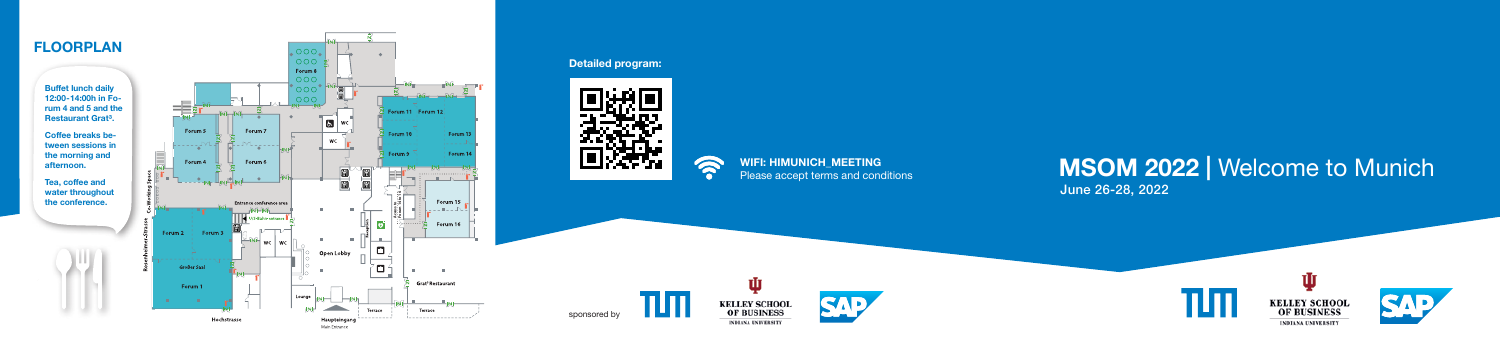

## **MSOM 2022 |** Welcome to Munich June 26-28, 2022







## **Detailed program:**



sponsored by



**WIFI: HIMUNICH\_MEETING** Please accept terms and conditions